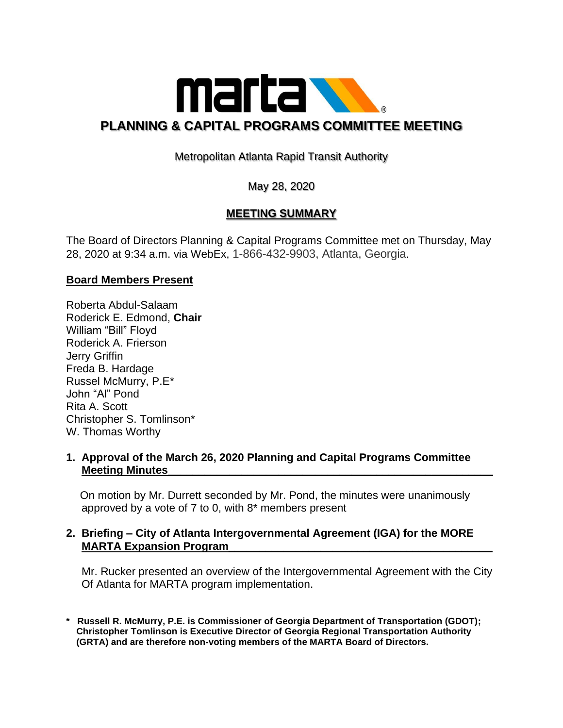

# Metropolitan Atlanta Rapid Transit Authority

May 28, 2020

## **MEETING SUMMARY**

The Board of Directors Planning & Capital Programs Committee met on Thursday, May 28, 2020 at 9:34 a.m. via WebEx, 1-866-432-9903, Atlanta, Georgia.

## **Board Members Present**

Roberta Abdul-Salaam Roderick E. Edmond, **Chair** William "Bill" Floyd Roderick A. Frierson Jerry Griffin Freda B. Hardage Russel McMurry, P.E\* John "Al" Pond Rita A. Scott Christopher S. Tomlinson\* W. Thomas Worthy

#### **1. Approval of the March 26, 2020 Planning and Capital Programs Committee Meeting Minutes**

 On motion by Mr. Durrett seconded by Mr. Pond, the minutes were unanimously approved by a vote of 7 to 0, with 8\* members present

#### **2. Briefing – City of Atlanta Intergovernmental Agreement (IGA) for the MORE MARTA Expansion Program\_\_\_\_\_\_\_\_\_\_\_\_\_\_\_\_\_\_\_\_\_\_\_\_\_\_\_\_\_\_\_\_\_\_\_\_\_\_\_\_\_\_\_**

 Mr. Rucker presented an overview of the Intergovernmental Agreement with the City Of Atlanta for MARTA program implementation.

**\* Russell R. McMurry, P.E. is Commissioner of Georgia Department of Transportation (GDOT); Christopher Tomlinson is Executive Director of Georgia Regional Transportation Authority (GRTA) and are therefore non-voting members of the MARTA Board of Directors.**